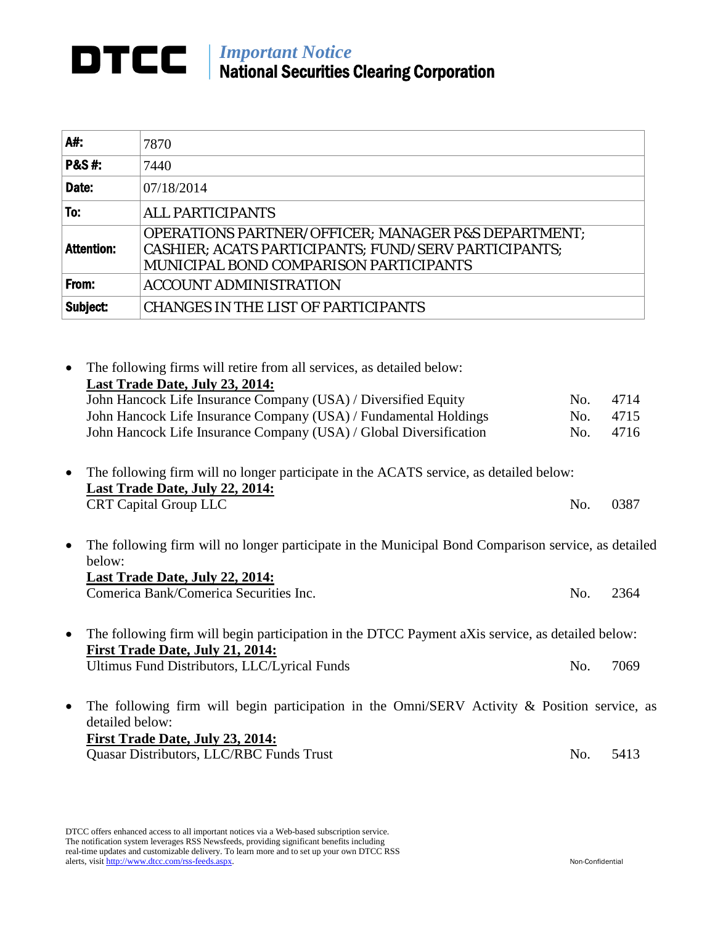## **DTCC** | *Important Notice* National Securities Clearing Corporation

| A#:               | 7870                                                                                                                                                                    |
|-------------------|-------------------------------------------------------------------------------------------------------------------------------------------------------------------------|
| <b>P&amp;S#:</b>  | 7440                                                                                                                                                                    |
| Date:             | 07/18/2014                                                                                                                                                              |
| To:               | <b>ALL PARTICIPANTS</b>                                                                                                                                                 |
| <b>Attention:</b> | <b>OPERATIONS PARTNER/OFFICER; MANAGER P&amp;S DEPARTMENT;</b><br>CASHIER; ACATS PARTICIPANTS; FUND/SERV PARTICIPANTS;<br><b>MUNICIPAL BOND COMPARISON PARTICIPANTS</b> |
| From:             | <b>ACCOUNT ADMINISTRATION</b>                                                                                                                                           |
| Subject:          | <b>CHANGES IN THE LIST OF PARTICIPANTS</b>                                                                                                                              |

• The following firms will retire from all services, as detailed below: **Last Trade Date, July 23, 2014:** John Hancock Life Insurance Company (USA) / Diversified Equity No. 4714 John Hancock Life Insurance Company (USA) / Fundamental Holdings No. 4715 John Hancock Life Insurance Company (USA) / Global Diversification No. 4716

- The following firm will no longer participate in the ACATS service, as detailed below: **Last Trade Date, July 22, 2014:** CRT Capital Group LLC No. 0387
- The following firm will no longer participate in the Municipal Bond Comparison service, as detailed below: **Last Trade Date, July 22, 2014:** Comerica Bank/Comerica Securities Inc. (2364) No. 2364
- The following firm will begin participation in the DTCC Payment aXis service, as detailed below: **First Trade Date, July 21, 2014:** Ultimus Fund Distributors, LLC/Lyrical Funds No. 7069
- The following firm will begin participation in the Omni/SERV Activity & Position service, as detailed below: **First Trade Date, July 23, 2014:** Quasar Distributors, LLC/RBC Funds Trust No. 5413